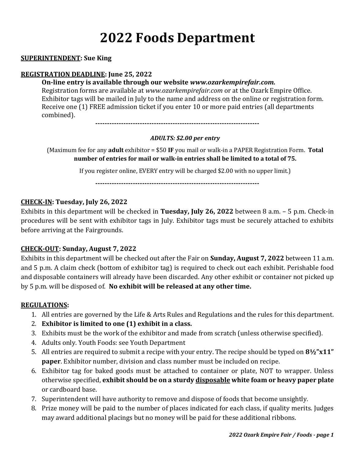# **2022 Foods Department**

#### **SUPERINTENDENT: Sue King**

#### **REGISTRATION DEADLINE: June 25, 2022**

#### **On-line entry is available through our website** *www.ozarkempirefair.com.*

Registration forms are available at *www.ozarkempirefair.com* or at the Ozark Empire Office. Exhibitor tags will be mailed in July to the name and address on the online or registration form. Receive one (1) FREE admission ticket if you enter 10 or more paid entries (all departments combined).

**----------------------------------------------------------------------**

#### *ADULTS: \$2.00 per entry*

(Maximum fee for any **adult** exhibitor = \$50 **IF** you mail or walk-in a PAPER Registration Form. **Total number of entries for mail or walk-in entries shall be limited to a total of 75.**

If you register online, EVERY entry will be charged \$2.00 with no upper limit.)

**----------------------------------------------------------------------**

#### **CHECK-IN: Tuesday, July 26, 2022**

Exhibits in this department will be checked in **Tuesday, July 26, 2022** between 8 a.m. – 5 p.m. Check-in procedures will be sent with exhibitor tags in July. Exhibitor tags must be securely attached to exhibits before arriving at the Fairgrounds.

#### **CHECK-OUT: Sunday, August 7, 2022**

Exhibits in this department will be checked out after the Fair on **Sunday, August 7, 2022** between 11 a.m. and 5 p.m. A claim check (bottom of exhibitor tag) is required to check out each exhibit. Perishable food and disposable containers will already have been discarded. Any other exhibit or container not picked up by 5 p.m. will be disposed of. **No exhibit will be released at any other time.**

#### **REGULATIONS:**

- 1. All entries are governed by the Life & Arts Rules and Regulations and the rules for this department.
- 2. **Exhibitor is limited to one (1) exhibit in a class.**
- 3. Exhibits must be the work of the exhibitor and made from scratch (unless otherwise specified).
- 4. Adults only. Youth Foods: see Youth Department
- 5. All entries are required to submit a recipe with your entry. The recipe should be typed on **8½"x11" paper**. Exhibitor number, division and class number must be included on recipe.
- 6. Exhibitor tag for baked goods must be attached to container or plate, NOT to wrapper. Unless otherwise specified, **exhibit should be on a sturdy disposable white foam or heavy paper plate**  or cardboard base.
- 7. Superintendent will have authority to remove and dispose of foods that become unsightly.
- 8. Prize money will be paid to the number of places indicated for each class, if quality merits. Judges may award additional placings but no money will be paid for these additional ribbons.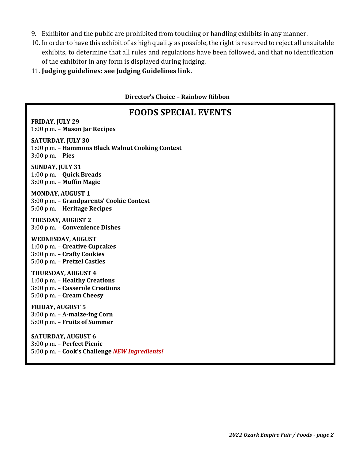- 9. Exhibitor and the public are prohibited from touching or handling exhibits in any manner.
- 10. In order to have this exhibit of as high quality as possible, the right is reserved to reject all unsuitable exhibits, to determine that all rules and regulations have been followed, and that no identification of the exhibitor in any form is displayed during judging.
- 11. **Judging guidelines: see Judging Guidelines link.**

**Director's Choice – Rainbow Ribbon**

## **FOODS SPECIAL EVENTS**

**FRIDAY, JULY 29** 1:00 p.m. – **Mason Jar Recipes**

**SATURDAY, JULY 30** 1:00 p.m. – **Hammons Black Walnut Cooking Contest** 3:00 p.m. – **Pies**

**SUNDAY, JULY 31** 1:00 p.m. – **Quick Breads** 3:00 p.m. – **Muffin Magic**

**MONDAY, AUGUST 1** 3:00 p.m. – **Grandparents' Cookie Contest** 5:00 p.m. – **Heritage Recipes**

**TUESDAY, AUGUST 2** 3:00 p.m. – **Convenience Dishes**

**WEDNESDAY, AUGUST**  1:00 p.m. – **Creative Cupcakes** 3:00 p.m. – **Crafty Cookies** 5:00 p.m. – **Pretzel Castles**

**THURSDAY, AUGUST 4** 1:00 p.m. – **Healthy Creations**  3:00 p.m. – **Casserole Creations** 5:00 p.m. – **Cream Cheesy**

**FRIDAY, AUGUST 5** 3:00 p.m. – **A-maize-ing Corn** 5:00 p.m. – **Fruits of Summer**

**SATURDAY, AUGUST 6** 3:00 p.m. – **Perfect Picnic** 5:00 p.m. – **Cook's Challenge** *NEW Ingredients!*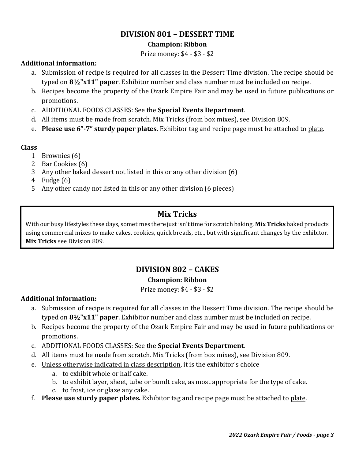## **DIVISION 801 – DESSERT TIME**

#### **Champion: Ribbon**

Prize money: \$4 - \$3 - \$2

#### **Additional information:**

- a. Submission of recipe is required for all classes in the Dessert Time division. The recipe should be typed on **8½"x11" paper**. Exhibitor number and class number must be included on recipe.
- b. Recipes become the property of the Ozark Empire Fair and may be used in future publications or promotions.
- c. ADDITIONAL FOODS CLASSES: See the **Special Events Department**.
- d. All items must be made from scratch. Mix Tricks (from box mixes), see Division 809.
- e. **Please use 6"-7" sturdy paper plates.** Exhibitor tag and recipe page must be attached to plate.

#### **Class**

- 1 Brownies (6)
- 2 Bar Cookies (6)
- 3 Any other baked dessert not listed in this or any other division (6)
- 4 Fudge (6)
- 5 Any other candy not listed in this or any other division (6 pieces)

## **Mix Tricks**

With our busy lifestyles these days, sometimes there just isn't time for scratch baking. **Mix Tricks** baked products using commercial mixes to make cakes, cookies, quick breads, etc., but with significant changes by the exhibitor. **Mix Tricks** see Division 809.

## **DIVISION 802 – CAKES Champion: Ribbon**

Prize money: \$4 - \$3 - \$2

#### **Additional information:**

- a. Submission of recipe is required for all classes in the Dessert Time division. The recipe should be typed on **8½"x11" paper**. Exhibitor number and class number must be included on recipe.
- b. Recipes become the property of the Ozark Empire Fair and may be used in future publications or promotions.
- c. ADDITIONAL FOODS CLASSES: See the **Special Events Department**.
- d. All items must be made from scratch. Mix Tricks (from box mixes), see Division 809.
- e. Unless otherwise indicated in class description, it is the exhibitor's choice
	- a. to exhibit whole or half cake.
	- b. to exhibit layer, sheet, tube or bundt cake, as most appropriate for the type of cake.
	- c. to frost, ice or glaze any cake.
- f. **Please use sturdy paper plates.** Exhibitor tag and recipe page must be attached to plate.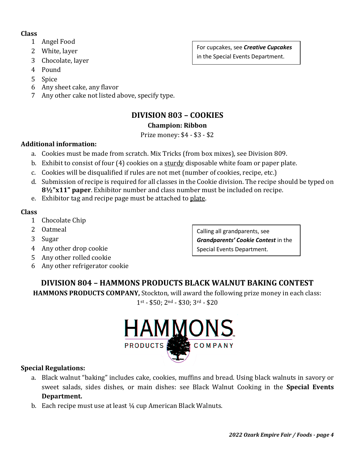#### **Class**

- 1 Angel Food
- 2 White, layer
- 3 Chocolate, layer
- 4 Pound
- 5 Spice
- 6 Any sheet cake, any flavor
- 7 Any other cake not listed above, specify type.

## **DIVISION 803 – COOKIES**

#### **Champion: Ribbon**

Prize money: \$4 - \$3 - \$2

#### **Additional information:**

- a. Cookies must be made from scratch. Mix Tricks (from box mixes), see Division 809.
- b. Exhibit to consist of four (4) cookies on a sturdy disposable white foam or paper plate.
- c. Cookies will be disqualified if rules are not met (number of cookies, recipe, etc.)
- d. Submission of recipe is required for all classes in the Cookie division. The recipe should be typed on **8½"x11" paper**. Exhibitor number and class number must be included on recipe.
- e. Exhibitor tag and recipe page must be attached to plate.

#### **Class**

- 1 Chocolate Chip
- 2 Oatmeal
- 3 Sugar
- 4 Any other drop cookie
- 5 Any other rolled cookie
- 6 Any other refrigerator cookie

Calling all grandparents, see *Grandparents' Cookie Contest* in the Special Events Department.

## **DIVISION 804 – HAMMONS PRODUCTS BLACK WALNUT BAKING CONTEST**

**HAMMONS PRODUCTS COMPANY,** Stockton, will award the following prize money in each class: 1st - \$50; 2nd - \$30; 3rd - \$20



#### **Special Regulations:**

- a. Black walnut "baking" includes cake, cookies, muffins and bread. Using black walnuts in savory or sweet salads, sides dishes, or main dishes: see Black Walnut Cooking in the **Special Events Department.**
- b. Each recipe must use at least ¼ cup American Black Walnuts.

For cupcakes, see *Creative Cupcakes*  in the Special Events Department.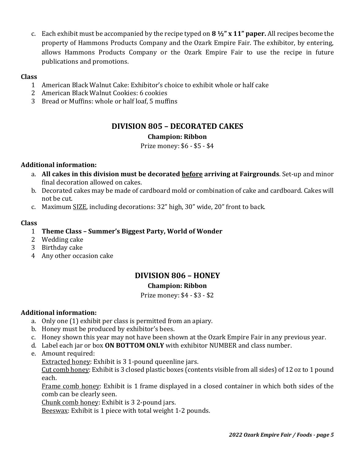c. Each exhibit must be accompanied by the recipe typed on **8 ½" x 11" paper.** All recipes become the property of Hammons Products Company and the Ozark Empire Fair. The exhibitor, by entering, allows Hammons Products Company or the Ozark Empire Fair to use the recipe in future publications and promotions.

#### **Class**

- 1 American Black Walnut Cake: Exhibitor's choice to exhibit whole or half cake
- 2 American Black Walnut Cookies: 6 cookies
- 3 Bread or Muffins: whole or half loaf, 5 muffins

## **DIVISION 805 – DECORATED CAKES**

#### **Champion: Ribbon**

Prize money: \$6 - \$5 - \$4

#### **Additional information:**

- a. **All cakes in this division must be decorated before arriving at Fairgrounds**. Set-up and minor final decoration allowed on cakes.
- b. Decorated cakes may be made of cardboard mold or combination of cake and cardboard. Cakes will not be cut.
- c. Maximum SIZE, including decorations: 32" high, 30" wide, 20" front to back.

#### **Class**

#### 1 **Theme Class – Summer's Biggest Party, World of Wonder**

- 2 Wedding cake
- 3 Birthday cake
- 4 Any other occasion cake

## **DIVISION 806 – HONEY**

#### **Champion: Ribbon**

Prize money: \$4 - \$3 - \$2

#### **Additional information:**

- a. Only one (1) exhibit per class is permitted from an apiary.
- b. Honey must be produced by exhibitor's bees.
- c. Honey shown this year may not have been shown at the Ozark Empire Fair in any previous year.
- d. Label each jar or box **ON BOTTOM ONLY** with exhibitor NUMBER and class number.
- e. Amount required:

Extracted honey: Exhibit is 3 1-pound queenline jars.

Cut comb honey: Exhibit is 3 closed plastic boxes (contents visible from all sides) of 12 oz to 1 pound each.

Frame comb honey: Exhibit is 1 frame displayed in a closed container in which both sides of the comb can be clearly seen.

Chunk comb honey: Exhibit is 3 2-pound jars.

Beeswax: Exhibit is 1 piece with total weight 1-2 pounds.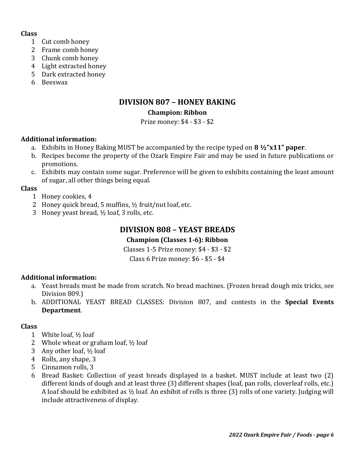#### **Class**

- 1 Cut comb honey
- 2 Frame comb honey
- 3 Chunk comb honey
- 4 Light extracted honey
- 5 Dark extracted honey
- 6 Beeswax

## **DIVISION 807 – HONEY BAKING**

#### **Champion: Ribbon**

Prize money: \$4 - \$3 - \$2

#### **Additional information:**

- a. Exhibits in Honey Baking MUST be accompanied by the recipe typed on **8 ½"x11" paper**.
- b. Recipes become the property of the Ozark Empire Fair and may be used in future publications or promotions.
- c. Exhibits may contain some sugar. Preference will be given to exhibits containing the least amount of sugar, all other things being equal.

#### **Class**

- 1 Honey cookies, 4
- 2 Honey quick bread, 5 muffins, ½ fruit/nut loaf, etc.
- 3 Honey yeast bread, ½ loaf, 3 rolls, etc.

## **DIVISION 808 – YEAST BREADS**

#### **Champion (Classes 1-6): Ribbon**

Classes 1-5 Prize money: \$4 - \$3 - \$2

Class 6 Prize money: \$6 - \$5 - \$4

#### **Additional information:**

- a. Yeast breads must be made from scratch. No bread machines. (Frozen bread dough mix tricks, see Division 809.)
- b. ADDITIONAL YEAST BREAD CLASSES: Division 807, and contests in the **Special Events Department**.

#### **Class**

- 1 White loaf, ½ loaf
- 2 Whole wheat or graham loaf, ½ loaf
- 3 Any other loaf,  $\frac{1}{2}$  loaf
- 4 Rolls, any shape, 3
- 5 Cinnamon rolls, 3
- 6 Bread Basket: Collection of yeast breads displayed in a basket. MUST include at least two (2) different kinds of dough and at least three (3) different shapes (loaf, pan rolls, cloverleaf rolls, etc.) A loaf should be exhibited as ½ loaf. An exhibit of rolls is three (3) rolls of one variety. Judging will include attractiveness of display.